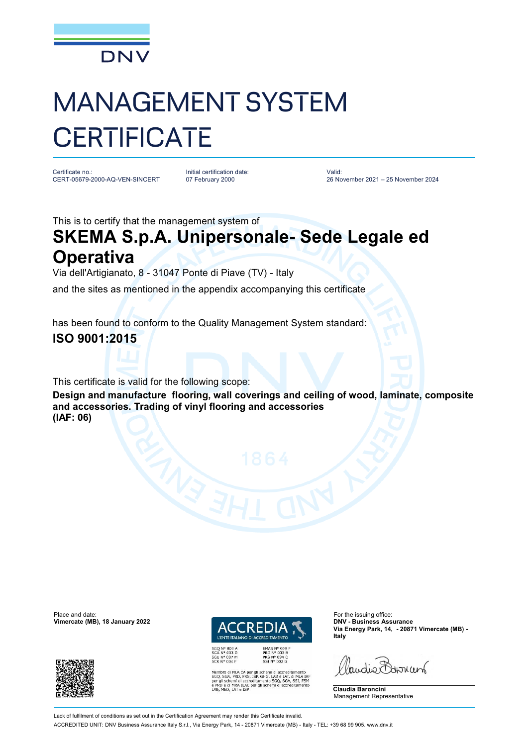

# MANAGEMENT SYSTEM **CERTIFICATE**

Certificate no.: CERT-05679-2000-AQ-VEN-SINCERT

Initial certification date: 07 February 2000

Valid: 26 November 2021 – 25 November 2024

This is to certify that the management system of

## **SKEMA S.p.A. Unipersonale- Sede Legale ed Operativa**

Via dell'Artigianato, 8 - 31047 Ponte di Piave (TV) - Italy

and the sites as mentioned in the appendix accompanying this certificate

has been found to conform to the Quality Management System standard:

### **ISO 9001:2015**

This certificate is valid for the following scope:

**Design and manufacture flooring, wall coverings and ceiling of wood, laminate, composite and accessories. Trading of vinyl flooring and accessories (IAF: 06)**

Place and date: For the issuing office:<br> **Place and date:** For the issuing office:<br> **Place and date:** For the issuing office:<br> **Place and date:** For the issuing office: **Vimercate (MB), 18 January 2022** 





EMAS N° 009 P<br>PRD N° 003 B<br>PRS N° 094 C<br>SSI N° 002 G MLA EA per gli schemi di accreditamento<br>PRD, PRS, ISP, GHG, LAB e LAT, di MLA IAF<br>emi di accreditamento SGQ, SGA, SSI, FSM<br>MRA ILAC per gli schemi di accreditamento<br>LAT e ISP **Via Energy Park, 14, - 20871 Vimercate (MB) - Italy**

Paudie Barriant

**Claudia Baroncini** Management Representative

Lack of fulfilment of conditions as set out in the Certification Agreement may render this Certificate invalid. ACCREDITED UNIT: DNV Business Assurance Italy S.r.l., Via Energy Park, 14 - 20871 Vimercate (MB) - Italy - TEL: +39 68 99 905. [www.dnv.it](http://www.dnv.it)